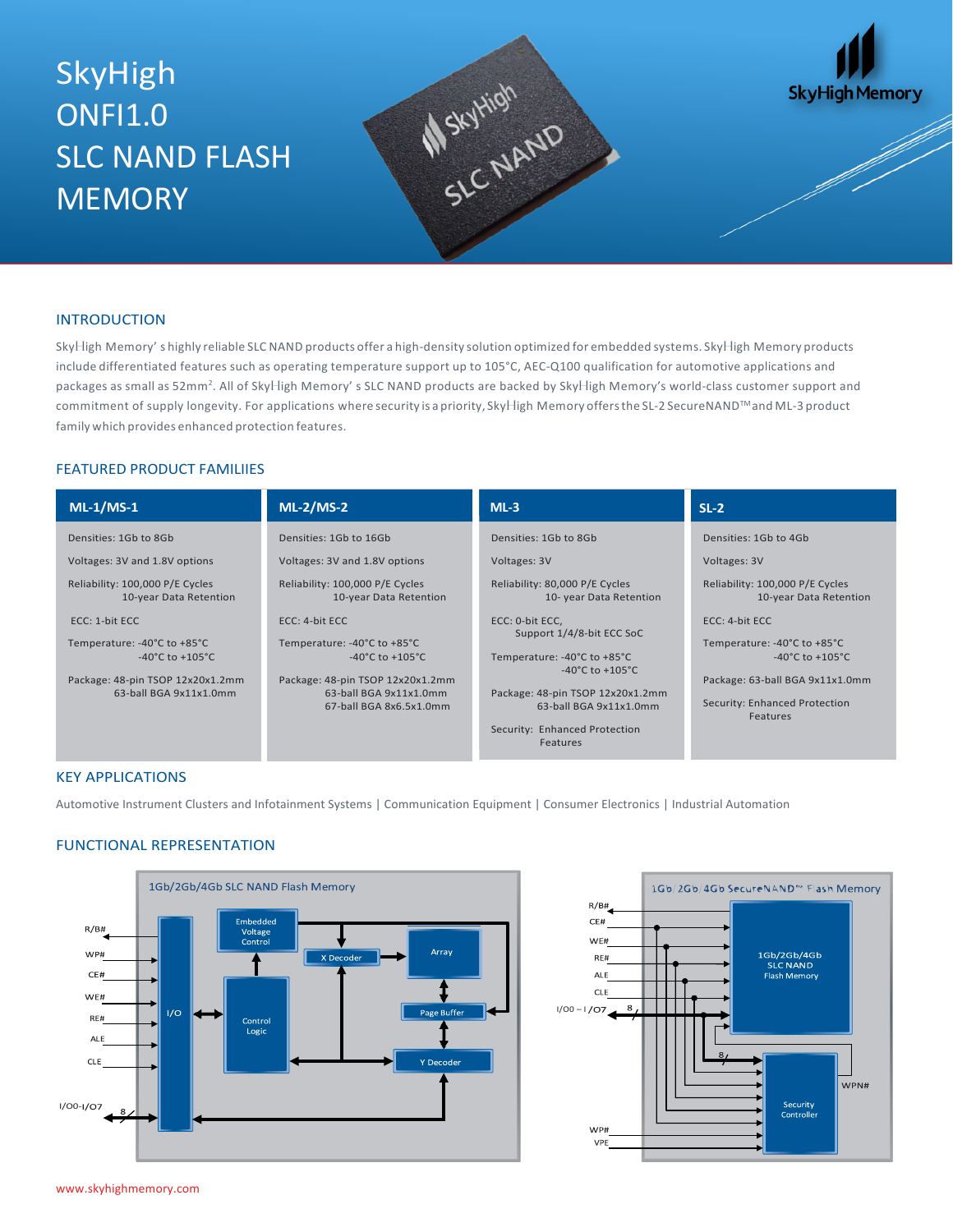# SkyHigh **ONFI1.0** SLC NAND FLASH **MEMORY**





### **INTRODUCTION**

SkyHigh Memory' s highly reliable SLC NAND products offer a high-density solution optimized for embedded systems. SkyHigh Memory products include differentiated features such as operating temperature support up to 105°C, AEC-Q100 qualification for automotive applications and packages as small as 52mm<sup>2</sup>. All of SkyHigh Memory' s SLC NAND products are backed by SkyHigh Memory's world-class customer support and commitment of supply longevity. For applications where security is a priority, SkyHigh Memory offers the SL-2 SecureNAND™ and ML-3 product family which provides enhanced protection features.

#### FEATURED PRODUCT FAMILIIES

| $ML-1/MS-1$                                               | $ML-2/MS-2$                                               | $ML-3$                                                    | $SL-2$                                                    |
|-----------------------------------------------------------|-----------------------------------------------------------|-----------------------------------------------------------|-----------------------------------------------------------|
| Densities: 1Gb to 8Gb                                     | Densities: 1Gb to 16Gb                                    | Densities: 1Gb to 8Gb                                     | Densities: 1Gb to 4Gb                                     |
| Voltages: 3V and 1.8V options                             | Voltages: 3V and 1.8V options                             | Voltages: 3V                                              | Voltages: 3V                                              |
| Reliability: 100,000 P/E Cycles<br>10-year Data Retention | Reliability: 100,000 P/E Cycles<br>10-year Data Retention | Reliability: 80,000 P/E Cycles<br>10- year Data Retention | Reliability: 100,000 P/E Cycles<br>10-year Data Retention |
| ECC: 1-bit ECC                                            | $ECC: 4-bit ECC$                                          | ECC: 0-bit ECC,<br>Support 1/4/8-bit ECC SoC              | $ECC: 4-bit ECC$                                          |
| Temperature: -40°C to +85°C                               | Temperature: -40°C to +85°C                               |                                                           | Temperature: -40°C to +85°C                               |
| -40 $^{\circ}$ C to +105 $^{\circ}$ C                     | -40°C to +105°C                                           | Temperature: -40°C to +85°C<br>-40°C to +105°C            | -40 $^{\circ}$ C to +105 $^{\circ}$ C                     |
| Package: 48-pin TSOP 12x20x1.2mm                          | Package: 48-pin TSOP 12x20x1.2mm                          |                                                           | Package: 63-ball BGA 9x11x1.0mm                           |
| 63-ball BGA 9x11x1.0mm                                    | 63-ball BGA 9x11x1.0mm                                    | Package: 48-pin TSOP 12x20x1.2mm                          |                                                           |
|                                                           | 67-ball BGA 8x6.5x1.0mm                                   | 63-ball BGA 9x11x1.0mm                                    | Security: Enhanced Protection<br>Features                 |
|                                                           |                                                           | Security: Enhanced Protection                             |                                                           |
|                                                           |                                                           | Features                                                  |                                                           |

### KEY APPLICATIONS

Automotive Instrument Clusters and Infotainment Systems | Communication Equipment | Consumer Electronics | Industrial Automation

# FUNCTIONAL REPRESENTATION